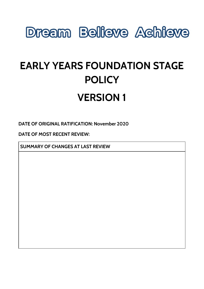# **Dream Believe Achieve**

# **EARLY YEARS FOUNDATION STAGE POLICY**

# **VERSION 1**

**DATE OF ORIGINAL RATIFICATION: November 2020**

**DATE OF MOST RECENT REVIEW:**

**SUMMARY OF CHANGES AT LAST REVIEW**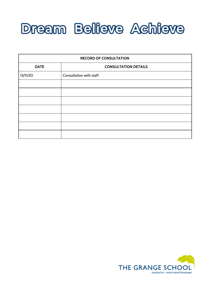

| <b>RECORD OF CONSULTATION</b> |                             |
|-------------------------------|-----------------------------|
| <b>DATE</b>                   | <b>CONSULTATION DETAILS</b> |
| 13/11/20                      | Consultation with staff     |
|                               |                             |
|                               |                             |
|                               |                             |
|                               |                             |
|                               |                             |
|                               |                             |
|                               |                             |

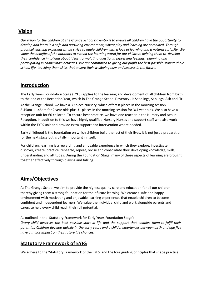#### **Vision**

Our vision for the children at The Grange School Daventry is to ensure all children have the opportunity to *develop and learn in a safe and nurturing environment, where play and learning are combined. Through* practical learning experiences, we strive to equip children with a love of learning and a natural curiosity. We value the benefits of the outdoors to extend the learning world for our children; helping them to develop *their confidence in talking about ideas, formulating questions, expressing feelings, planning and* participating in cooperative activities. We are committed to giving our pupils the best possible start to their *school life, teaching them skills that ensure their wellbeing now and success in the future.*

#### **Introduction**

The Early Years Foundation Stage (EYFS) applies to the learning and development of all children from birth to the end of the Reception Year, which in The Grange School Daventry , is Seedlings, Saplings, Ash and Fir.

At the Grange School, we have a 39 place Nursery, which offers 8 places in the morning session 8.45am-11.45am for 2 year olds plus 31 places in the morning session for 3/4 year olds. We also have a reception unit for 60 children. To ensure best practice, we have one teacher in the Nursery and two in Reception. In addition to this we have highly qualified Nursery Nurses and support staff who also work within the EYFS unit and provide extra support and intervention where needed.

Early childhood is the foundation on which children build the rest of their lives. It is not just a preparation for the next stage but is vitally important in itself.

For children, learning is a rewarding and enjoyable experience in which they explore, investigate, discover, create, practice, rehearse, repeat, revise and consolidate their developing knowledge, skills, understanding and attitudes. During the Foundation Stage, many of these aspects of learning are brought together effectively through playing and talking.

### **Aims/Objectives**

At The Grange School we aim to provide the highest quality care and education for all our children thereby giving them a strong foundation for their future learning. We create a safe and happy environment with motivating and enjoyable learning experiences that enable children to become confident and independent learners. We value the individual child and work alongside parents and carers to help every child reach their full potential.

As outlined in the 'Statutory Framework for Early Years Foundation Stage':

'Every child deserves the best possible start in life and the support that enables them to fulfil their potential. Children develop quickly in the early years and a child's experiences between birth and age five *have a major impact on their future life chances.'*

### **Statutory Framework of EYFS**

We adhere to the 'Statutory Framework of the EYFS' and the four guiding principles that shape practice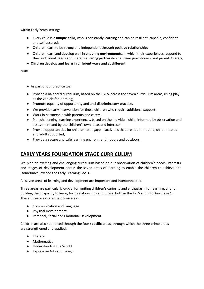within Early Years settings:

- Every child is a **unique child**, who is constantly learning and can be resilient, capable, confident and self-assured;
- Children learn to be strong and independent through **positive relationships**;
- Children learn and develop well in **enabling environments**, in which their experiences respond to their individual needs and there is a strong partnership between practitioners and parents/ carers;
- **Children develop and learn in different ways and at different**

#### **rates**

- As part of our practice we:
- Provide a balanced curriculum, based on the EYFS, across the seven curriculum areas, using play as the vehicle for learning;
- Promote equality of opportunity and anti-discriminatory practice.
- We provide early intervention for those children who require additional support;
- Work in partnership with parents and carers;
- Plan challenging learning experiences, based on the individual child, informed by observation and assessment and by the children's own ideas and interests;
- Provide opportunities for children to engage in activities that are adult-initiated, child-initiated and adult supported;
- Provide a secure and safe learning environment indoors and outdoors.

### **EARLY YEARS FOUNDATION STAGE CURRICULUM**

We plan an exciting and challenging curriculum based on our observation of children's needs, interests, and stages of development across the seven areas of learning to enable the children to achieve and (sometimes) exceed the Early Learning Goals.

All seven areas of learning and development are important and interconnected.

Three areas are particularly crucial for igniting children's curiosity and enthusiasm for learning, and for building their capacity to learn, form relationships and thrive, both in the EYFS and into Key Stage 1. These three areas are the **prime** areas:

- Communication and Language
- Physical Development
- Personal, Social and Emotional Development

Children are also supported through the four **specific** areas, through which the three prime areas are strengthened and applied:

- Literacy
- Mathematics
- Understanding the World
- Expressive Arts and Design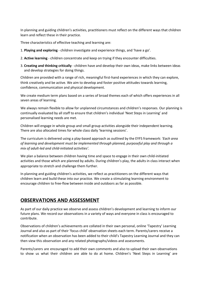In planning and guiding children's activities, practitioners must reflect on the different ways that children learn and reflect these in their practice.

Three characteristics of effective teaching and learning are:

- 1. **Playing and exploring** children investigate and experience things, and 'have a go'.
- 2. **Active learning** children concentrate and keep on trying if they encounter difficulties.
- 3. **Creating and thinking critically** children have and develop their own ideas, make links between ideas and develop strategies for doing things.

Children are provided with a range of rich, meaningful first-hand experiences in which they can explore, think creatively and be active. We aim to develop and foster positive attitudes towards learning, confidence, communication and physical development.

We create medium term plans based on a series of broad themes each of which offers experiences in all seven areas of learning.

We always remain flexible to allow for unplanned circumstances and children's responses. Our planning is continually evaluated by all staff to ensure that children's individual 'Next Steps in Learning' and personalised learning needs are met.

Children will engage in whole group and small group activities alongside their independent learning. There are also allocated times for whole class daily 'learning sessions'.

The curriculum is delivered using a play-based approach as outlined by the EYFS framework: *'Each area of learning and development must be implemented through planned, purposeful play and through a mix of adult-led and child-initiated activities'.*

We plan a balance between children having time and space to engage in their own child-initiated activities and those which are planned by adults. During children's play, the adults in class interact when appropriate to stretch and challenge them further.

In planning and guiding children's activities, we reflect as practitioners on the different ways that children learn and build these into our practice. We create a stimulating learning environment to encourage children to free-flow between inside and outdoors as far as possible.

#### **OBSERVATIONS AND ASSESSMENT**

As part of our daily practice we observe and assess children's development and learning to inform our future plans. We record our observations in a variety of ways and everyone in class is encouraged to contribute.

Observations of children's achievements are collated in their own personal, online 'Tapestry' Learning Journal and also as part of their 'focus child' observation sheets each term. Parents/carers receive a notification when an observation has been added to their child's Tapestry Learning Journal and they can then view this observation and any related photographs/videos and assessments.

Parents/carers are encouraged to add their own comments and also to upload their own observations to show us what their children are able to do at home. Children's 'Next Steps in Learning' are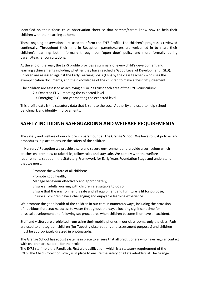identified on their 'focus child' observation sheet so that parents/carers know how to help their children with their learning at home.

These ongoing observations are used to inform the EYFS Profile. The children's progress is reviewed continually. Throughout their time in Reception, parents/carers are welcomed in to share their children's learning; both informally through our 'open door' policy and more formally during parent/teacher consultations.

At the end of the year, the EYFS profile provides a summary of every child's development and learning achievements including whether they have reached a 'Good Level of Development' (GLD). Children are assessed against the Early Learning Goals (ELG) by the class teacher - who uses the exemplification documents, and their knowledge of the children to make a 'best fit' judgement.

The children are assessed as achieving a 1 or 2 against each area of the EYFS curriculum:

- 2 = Expected ELG meeting the expected level
- 1 = Emerging ELG not yet meeting the expected level

This profile data is the statutory data that is sent to the Local Authority and used to help school benchmark and identify improvements.

#### **SAFETY INCLUDING SAFEGUARDING AND WELFARE REQUIREMENTS**

The safety and welfare of our children is paramount at The Grange School. We have robust policies and procedures in place to ensure the safety of the children.

In Nursery / Reception we provide a safe and secure environment and provide a curriculum which teaches children how to take risks, follow rules and stay safe. We comply with the welfare requirements set out in the Statutory Framework for Early Years Foundation Stage and understand that we must:

Promote the welfare of all children;

- Promote good health;
- Manage behaviour effectively and appropriately;
- Ensure all adults working with children are suitable to do so;
- Ensure that the environment is safe and all equipment and furniture is fit for purpose;
- Ensure all children have a challenging and enjoyable learning experience.

We promote the good health of the children in our care in numerous ways, including the provision of nutritious fruit snacks, access to water throughout the day, allocating significant time for physical development and following set procedures when children become ill or have an accident.

Staff and visitors are prohibited from using their mobile phones in our classrooms, only the class iPads are used to photograph children (for Tapestry observations and assessment purposes) and children must be appropriately dressed in photographs.

The Grange School has robust systems in place to ensure that all practitioners who have regular contact with children are suitable for their role.

The EYFS staff hold the Paediatric First aid qualification, which is a statutory requirement of the EYFS. The Child Protection Policy is in place to ensure the safety of all stakeholders at The Grange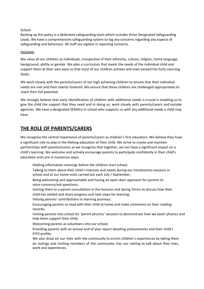#### School.

Backing up this policy is a dedicated safeguarding team which includes three Designated Safeguarding Leads. We have a comprehensive safeguarding system to log any concerns regarding any aspects of safeguarding and behaviour. All staff are vigilant in reporting concerns.

#### Inclusion

We value all our children as individuals, irrespective of their ethnicity, culture, religion, home language, background, ability or gender. We plan a curriculum that meets the needs of the individual child and support them at their own pace so that most of our children achieve and even exceed the Early Learning Goals.

We work closely with the parents/carers of our high achieving children to ensure that their individual needs are met and their talents fostered. We ensure that these children are challenged appropriately to reach their full potential.

We strongly believe that early identification of children with additional needs is crucial in enabling us to give the child the support that they need and in doing so, work closely with parents/carers and outside agencies. We have a designated SENDCo in school who supports us with any additional needs a child may have.

### **THE ROLE OF PARENTS/CARERS**

We recognise the central importance of parents/carers as children's first educators. We believe they have a significant role to play in the lifelong education of their child. We strive to create and maintain partnerships with parents/carers as we recognise that together, we can have a significant impact on a child's learning. We welcome and actively encourage parents to participate confidently in their child's education and care in numerous ways.

Holding information evenings before the children start school;

Talking to them about their child's interests and needs during our introductory sessions in school and at our home visits carried out each July / September;

Being welcoming and approachable and having an open-door approach for parents to voice concerns/ask questions;

Inviting them to a parent consultation in the Autumn and Spring Terms to discuss how their child has settled and share progress and next steps for learning;

Valuing parents' contributions to learning journeys;

Encouraging parents to read with their child at home and make comments on their reading records;

Inviting parents into school for 'parent phonics' sessions to demonstrate how we teach phonics and help them support their child;

Welcoming parents as volunteers into our school;

Providing parents with an annual end of year report detailing achievements and their child's EYFS profile;

We also draw on our links with the community to enrich children's experiences by taking them on outings and inviting members of the community into our setting to talk about their lives, work and experiences.